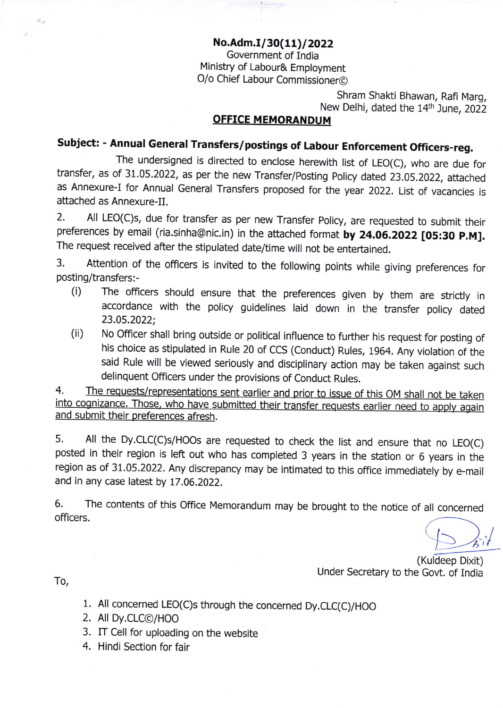No.Adm.I/30(11)/2022 Government of India Ministry of Labour& Employment O/o Chief Labour Commissioner@

> Shram Shakti Bhawan, Rafi Marg, New Delhi, dated the 14th June, 2022

### **OFFICE MEMORANDUM**

# Subject: - Annual General Transfers/postings of Labour Enforcement Officers-reg.

The undersigned is directed to enclose herewith list of LEO(C), who are due for transfer, as of 31.05.2022, as per the new Transfer/posting policy dated 23.05.2022, attached as Annexure-I for Annual General Transfers proposed for the year 2022. List of vacancies is attached as Annexure-II.

2. All LEO(C)S, due for transfer as per new Transfer Policy, are requested to submit their preferences by email (ria.sinha@nic.in) in the attached format by 24.06.2022 [05:30 P.M]. The request received after the stipulated date/time will not be enteftained.

3. Attention of the officers is invited to the following points while giving preferences for posting/transfers:-

- (i) The officers should ensure that the preferences given by them are stricly in accordance with the policy guidelines laid down in the transfer policy dated 23.05.2022;
- (ii) No Officer shall bring outside or political influence to further his request for posting of his choice as stipulated in Rule 20 of CCS (Conduct) Rules, 1964. Any violation of the said Rule will be viewed seriously and disciplinary action may be taken against such delinquent Officers under the provisions of Conduct Rules.

4. The requests/representations sent earlier and prior to issue of this OM shall not be taken into cognizance. Those, who have submitted their transfer requests earlier need to apply again and submit their preferences afresh.

5. All the Dy.clC(c)s/Hoos are requested to check the list and ensure that no LEo(c) posted in their region is left out who has completed 3 years in the station or 6 years in the region as of 31.05.2022. Any discrepancy may be intimated to this office immediately by e-mail and in any case latest by 17.06.2022.

6. The contents of this Office Memorandum may be brought to the notice of all concerned officers.

ù

(Kuldeep Dixit) Under Secretary to the Govt. of India

To,

- 1. All concerned LEO(C)s through the concerned Dy.CLC(C)/HOO
- 2. AllDy.CLC@/HOO
- 3. IT Cell for uploading on the website
- 4. Hindi Section for fair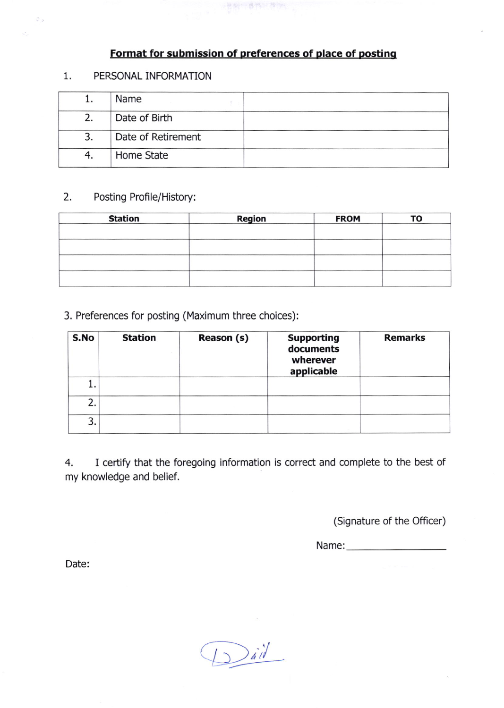### Format for submission of preferences of place of posting

一把钢丝 静脉的 推动

#### 1 PERSONAL INFORMATION

 $\varphi_{\mathcal{A}}$ 

é,

| Name               |  |
|--------------------|--|
| Date of Birth      |  |
| Date of Retirement |  |
| Home State         |  |

### 2. Posting Profile/History:

| <b>Station</b> | <b>Region</b> | <b>FROM</b> | то |
|----------------|---------------|-------------|----|
|                |               |             |    |
|                |               |             |    |
|                |               |             |    |
|                |               |             |    |
|                |               |             |    |

3. Preferences for posting (Maximum three choices):

| S.No | <b>Station</b> | Reason (s) | <b>Supporting</b><br>documents<br>wherever<br>applicable | <b>Remarks</b> |
|------|----------------|------------|----------------------------------------------------------|----------------|
| ı.   |                |            |                                                          |                |
| 2.   |                |            |                                                          |                |
| 3.   |                |            |                                                          |                |

4. I certify that the foregoing information is correct and complete to the best of my knowledge and belief.

(Signature of the Officer)

Name:--

Date:

,/ 41